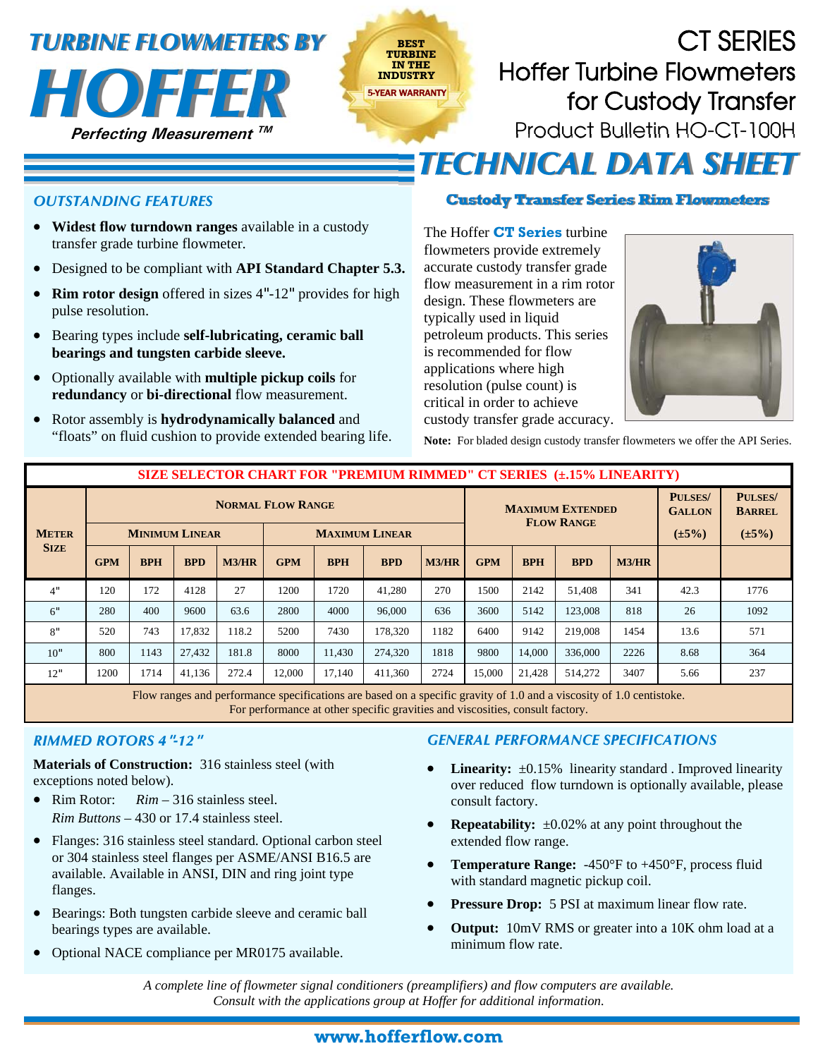# *TURBINE FLOWMETERS BY*



## CT SERIES **TURBINE**  Hoffer Turbine Flowmeters **IN THE**  for Custody Transfer Product Bulletin HO-CT-100H **TECHNICAL DATA SHEET**

### *OUTSTANDING FEATURES*

- **Widest flow turndown ranges** available in a custody transfer grade turbine flowmeter.
- Designed to be compliant with **API Standard Chapter 5.3.**
- **Rim rotor design** offered in sizes 4"-12" provides for high pulse resolution.
- Bearing types include **self-lubricating, ceramic ball bearings and tungsten carbide sleeve.**
- Optionally available with **multiple pickup coils** for **redundancy** or **bi-directional** flow measurement.
- Rotor assembly is **hydrodynamically balanced** and "floats" on fluid cushion to provide extended bearing life.

#### **Custody Transfer Series Rim Flowmeters**

 The Hoffer **CT Series** turbine flowmeters provide extremely accurate custody transfer grade flow measurement in a rim rotor design. These flowmeters are typically used in liquid petroleum products. This series is recommended for flow applications where high resolution (pulse count) is critical in order to achieve custody transfer grade accuracy.



**Note:** For bladed design custody transfer flowmeters we offer the API Series.

|                             | <b>SIZE SELECTOR CHART FOR "PREMIUM RIMMED" CT SERIES (±,15% LINEARITY)</b> |            |            |       |                       |            |            |       |                                              |            |            |             |                                 |                                 |
|-----------------------------|-----------------------------------------------------------------------------|------------|------------|-------|-----------------------|------------|------------|-------|----------------------------------------------|------------|------------|-------------|---------------------------------|---------------------------------|
| <b>METER</b><br><b>SIZE</b> | <b>NORMAL FLOW RANGE</b>                                                    |            |            |       |                       |            |            |       | <b>MAXIMUM EXTENDED</b><br><b>FLOW RANGE</b> |            |            |             | <b>PULSES/</b><br><b>GALLON</b> | <b>PULSES/</b><br><b>BARREL</b> |
|                             | <b>MINIMUM LINEAR</b>                                                       |            |            |       | <b>MAXIMUM LINEAR</b> |            |            |       |                                              |            |            | $(\pm 5\%)$ | $(\pm 5\%)$                     |                                 |
|                             | <b>GPM</b>                                                                  | <b>BPH</b> | <b>BPD</b> | M3/HR | <b>GPM</b>            | <b>BPH</b> | <b>BPD</b> | M3/HR | <b>GPM</b>                                   | <b>BPH</b> | <b>BPD</b> | M3/HR       |                                 |                                 |
| 4"                          | 120                                                                         | 172        | 4128       | 27    | 1200                  | 1720       | 41,280     | 270   | 1500                                         | 2142       | 51,408     | 341         | 42.3                            | 1776                            |
| 6"                          | 280                                                                         | 400        | 9600       | 63.6  | 2800                  | 4000       | 96,000     | 636   | 3600                                         | 5142       | 123,008    | 818         | 26                              | 1092                            |
| 8"                          | 520                                                                         | 743        | 17.832     | 118.2 | 5200                  | 7430       | 178.320    | 1182  | 6400                                         | 9142       | 219,008    | 1454        | 13.6                            | 571                             |
| 10"                         | 800                                                                         | 1143       | 27.432     | 181.8 | 8000                  | 11.430     | 274,320    | 1818  | 9800                                         | 14.000     | 336,000    | 2226        | 8.68                            | 364                             |
| 12"                         | 1200                                                                        | 1714       | 41,136     | 272.4 | 12,000                | 17,140     | 411,360    | 2724  | 15,000                                       | 21,428     | 514,272    | 3407        | 5.66                            | 237                             |

**BEST** 

Flow ranges and performance specifications are based on a specific gravity of 1.0 and a viscosity of 1.0 centistoke. For performance at other specific gravities and viscosities, consult factory.

#### *RIMMED ROTORS 4***"***-12***"**

**Materials of Construction:** 316 stainless steel (with exceptions noted below).

- Rim Rotor: *Rim* 316 stainless steel. *Rim Buttons* – 430 or 17.4 stainless steel.
- Flanges: 316 stainless steel standard. Optional carbon steel or 304 stainless steel flanges per ASME/ANSI B16.5 are available. Available in ANSI, DIN and ring joint type flanges.
- Bearings: Both tungsten carbide sleeve and ceramic ball bearings types are available.
- Optional NACE compliance per MR0175 available.

#### *GENERAL PERFORMANCE SPECIFICATIONS*

- Linearity:  $\pm 0.15\%$  linearity standard . Improved linearity over reduced flow turndown is optionally available, please consult factory.
- **Repeatability:**  $\pm 0.02\%$  at any point throughout the extended flow range.
- **Temperature Range:** -450°F to +450°F, process fluid with standard magnetic pickup coil.
- **Pressure Drop:** 5 PSI at maximum linear flow rate.
- **Output:** 10mV RMS or greater into a 10K ohm load at a minimum flow rate.

*A complete line of flowmeter signal conditioners (preamplifiers) and flow computers are available. Consult with the applications group at Hoffer for additional information.*

## **www.hofferflow.com**